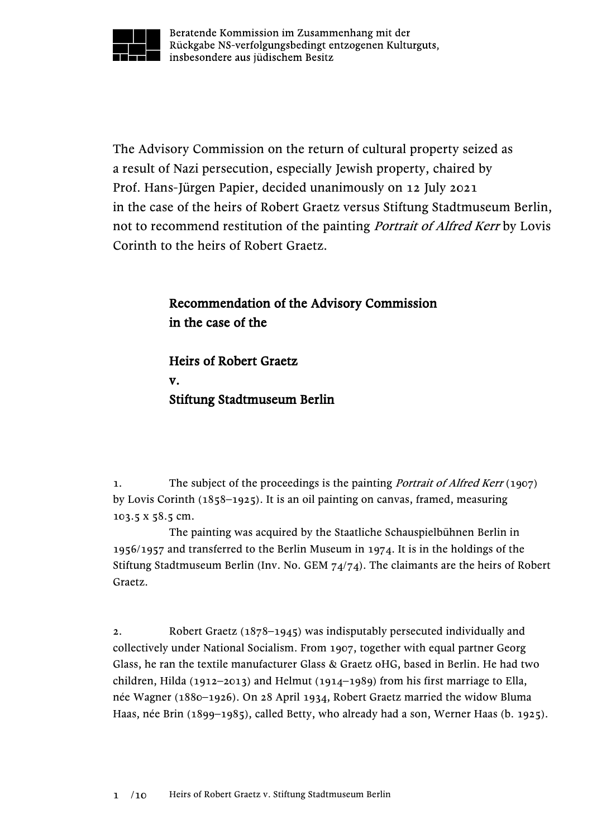

Beratende Kommission im Zusammenhang mit der Rückgabe NS-verfolgungsbedingt entzogenen Kulturguts, insbesondere aus jüdischem Besitz

The Advisory Commission on the return of cultural property seized as a result of Nazi persecution, especially Jewish property, chaired by Prof. Hans-Jürgen Papier, decided unanimously on 12 July 2021 in the case of the heirs of Robert Graetz versus Stiftung Stadtmuseum Berlin, not to recommend restitution of the painting *Portrait of Alfred Kerr* by Lovis Corinth to the heirs of Robert Graetz.

## Recommendation of the Advisory Commission in the case of the

Heirs of Robert Graetz v. Stiftung Stadtmuseum Berlin

1. The subject of the proceedings is the painting *Portrait of Alfred Kerr* (1907) by Lovis Corinth (1858–1925). It is an oil painting on canvas, framed, measuring 103.5 x 58.5 cm.

The painting was acquired by the Staatliche Schauspielbühnen Berlin in 1956/1957 and transferred to the Berlin Museum in 1974. It is in the holdings of the Stiftung Stadtmuseum Berlin (Inv. No. GEM 74/74). The claimants are the heirs of Robert Graetz.

2. Robert Graetz (1878–1945) was indisputably persecuted individually and collectively under National Socialism. From 1907, together with equal partner Georg Glass, he ran the textile manufacturer Glass & Graetz oHG, based in Berlin. He had two children, Hilda (1912–2013) and Helmut (1914–1989) from his first marriage to Ella, née Wagner (1880–1926). On 28 April 1934, Robert Graetz married the widow Bluma Haas, née Brin (1899–1985), called Betty, who already had a son, Werner Haas (b. 1925).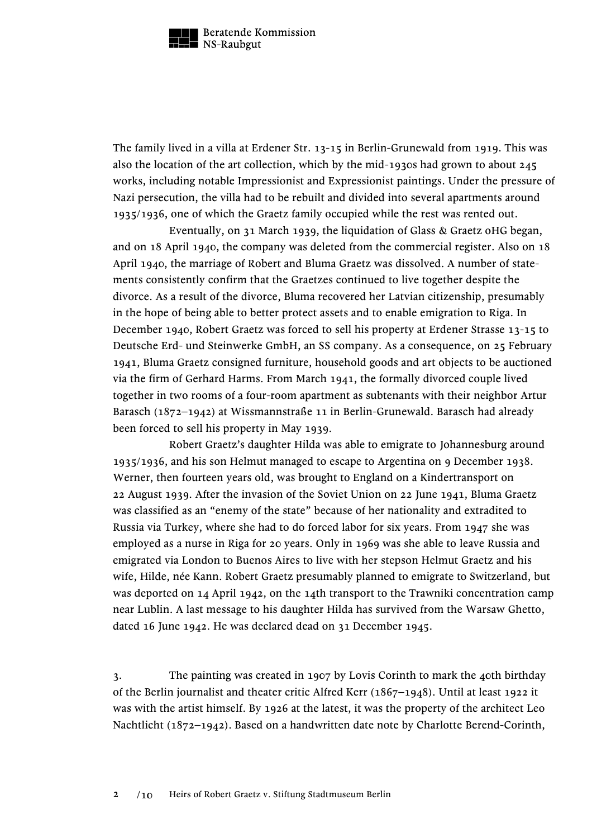

The family lived in a villa at Erdener Str. 13-15 in Berlin-Grunewald from 1919. This was also the location of the art collection, which by the mid-1930s had grown to about 245 works, including notable Impressionist and Expressionist paintings. Under the pressure of Nazi persecution, the villa had to be rebuilt and divided into several apartments around 1935/1936, one of which the Graetz family occupied while the rest was rented out.

Eventually, on 31 March 1939, the liquidation of Glass & Graetz oHG began, and on 18 April 1940, the company was deleted from the commercial register. Also on 18 April 1940, the marriage of Robert and Bluma Graetz was dissolved. A number of statements consistently confirm that the Graetzes continued to live together despite the divorce. As a result of the divorce, Bluma recovered her Latvian citizenship, presumably in the hope of being able to better protect assets and to enable emigration to Riga. In December 1940, Robert Graetz was forced to sell his property at Erdener Strasse 13-15 to Deutsche Erd- und Steinwerke GmbH, an SS company. As a consequence, on 25 February 1941, Bluma Graetz consigned furniture, household goods and art objects to be auctioned via the firm of Gerhard Harms. From March 1941, the formally divorced couple lived together in two rooms of a four-room apartment as subtenants with their neighbor Artur Barasch (1872–1942) at Wissmannstraße 11 in Berlin-Grunewald. Barasch had already been forced to sell his property in May 1939.

Robert Graetz's daughter Hilda was able to emigrate to Johannesburg around 1935/1936, and his son Helmut managed to escape to Argentina on 9 December 1938. Werner, then fourteen years old, was brought to England on a Kindertransport on 22 August 1939. After the invasion of the Soviet Union on 22 June 1941, Bluma Graetz was classified as an "enemy of the state" because of her nationality and extradited to Russia via Turkey, where she had to do forced labor for six years. From 1947 she was employed as a nurse in Riga for 20 years. Only in 1969 was she able to leave Russia and emigrated via London to Buenos Aires to live with her stepson Helmut Graetz and his wife, Hilde, née Kann. Robert Graetz presumably planned to emigrate to Switzerland, but was deported on 14 April 1942, on the 14th transport to the Trawniki concentration camp near Lublin. A last message to his daughter Hilda has survived from the Warsaw Ghetto, dated 16 June 1942. He was declared dead on 31 December 1945.

3. The painting was created in 1907 by Lovis Corinth to mark the 40th birthday of the Berlin journalist and theater critic Alfred Kerr (1867–1948). Until at least 1922 it was with the artist himself. By 1926 at the latest, it was the property of the architect Leo Nachtlicht (1872–1942). Based on a handwritten date note by Charlotte Berend-Corinth,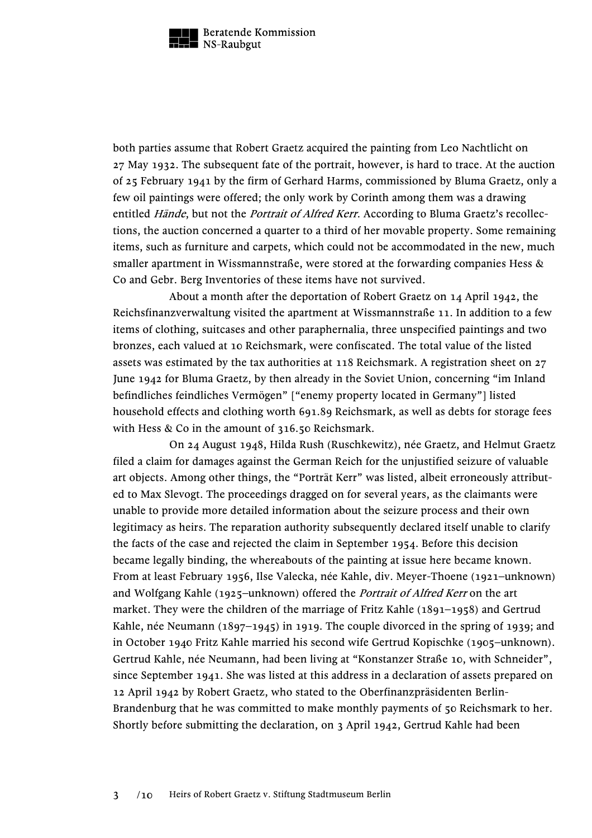

both parties assume that Robert Graetz acquired the painting from Leo Nachtlicht on 27 May 1932. The subsequent fate of the portrait, however, is hard to trace. At the auction of 25 February 1941 by the firm of Gerhard Harms, commissioned by Bluma Graetz, only a few oil paintings were offered; the only work by Corinth among them was a drawing entitled Hände, but not the *Portrait of Alfred Kerr*. According to Bluma Graetz's recollections, the auction concerned a quarter to a third of her movable property. Some remaining items, such as furniture and carpets, which could not be accommodated in the new, much smaller apartment in Wissmannstraße, were stored at the forwarding companies Hess & Co and Gebr. Berg Inventories of these items have not survived.

About a month after the deportation of Robert Graetz on 14 April 1942, the Reichsfinanzverwaltung visited the apartment at Wissmannstraße 11. In addition to a few items of clothing, suitcases and other paraphernalia, three unspecified paintings and two bronzes, each valued at 10 Reichsmark, were confiscated. The total value of the listed assets was estimated by the tax authorities at 118 Reichsmark. A registration sheet on 27 June 1942 for Bluma Graetz, by then already in the Soviet Union, concerning "im Inland befindliches feindliches Vermögen" ["enemy property located in Germany"] listed household effects and clothing worth 691.89 Reichsmark, as well as debts for storage fees with Hess & Co in the amount of 316.50 Reichsmark.

On 24 August 1948, Hilda Rush (Ruschkewitz), née Graetz, and Helmut Graetz filed a claim for damages against the German Reich for the unjustified seizure of valuable art objects. Among other things, the "Porträt Kerr" was listed, albeit erroneously attributed to Max Slevogt. The proceedings dragged on for several years, as the claimants were unable to provide more detailed information about the seizure process and their own legitimacy as heirs. The reparation authority subsequently declared itself unable to clarify the facts of the case and rejected the claim in September 1954. Before this decision became legally binding, the whereabouts of the painting at issue here became known. From at least February 1956, Ilse Valecka, née Kahle, div. Meyer-Thoene (1921–unknown) and Wolfgang Kahle (1925–unknown) offered the Portrait of Alfred Kerr on the art market. They were the children of the marriage of Fritz Kahle (1891–1958) and Gertrud Kahle, née Neumann (1897–1945) in 1919. The couple divorced in the spring of 1939; and in October 1940 Fritz Kahle married his second wife Gertrud Kopischke (1905–unknown). Gertrud Kahle, née Neumann, had been living at "Konstanzer Straße 10, with Schneider", since September 1941. She was listed at this address in a declaration of assets prepared on 12 April 1942 by Robert Graetz, who stated to the Oberfinanzpräsidenten Berlin-Brandenburg that he was committed to make monthly payments of 50 Reichsmark to her. Shortly before submitting the declaration, on 3 April 1942, Gertrud Kahle had been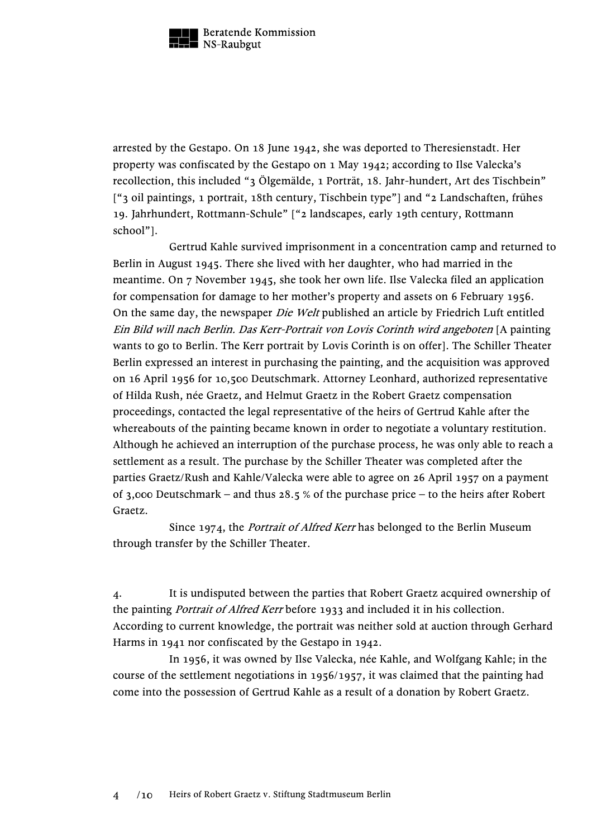

arrested by the Gestapo. On 18 June 1942, she was deported to Theresienstadt. Her property was confiscated by the Gestapo on 1 May 1942; according to Ilse Valecka's recollection, this included "3 Ölgemälde, 1 Porträt, 18. Jahr-hundert, Art des Tischbein" ["3 oil paintings, 1 portrait, 18th century, Tischbein type"] and "2 Landschaften, frühes 19. Jahrhundert, Rottmann-Schule" ["2 landscapes, early 19th century, Rottmann school"].

Gertrud Kahle survived imprisonment in a concentration camp and returned to Berlin in August 1945. There she lived with her daughter, who had married in the meantime. On 7 November 1945, she took her own life. Ilse Valecka filed an application for compensation for damage to her mother's property and assets on 6 February 1956. On the same day, the newspaper Die Welt published an article by Friedrich Luft entitled Ein Bild will nach Berlin. Das Kerr-Portrait von Lovis Corinth wird angeboten [A painting wants to go to Berlin. The Kerr portrait by Lovis Corinth is on offer]. The Schiller Theater Berlin expressed an interest in purchasing the painting, and the acquisition was approved on 16 April 1956 for 10,500 Deutschmark. Attorney Leonhard, authorized representative of Hilda Rush, née Graetz, and Helmut Graetz in the Robert Graetz compensation proceedings, contacted the legal representative of the heirs of Gertrud Kahle after the whereabouts of the painting became known in order to negotiate a voluntary restitution. Although he achieved an interruption of the purchase process, he was only able to reach a settlement as a result. The purchase by the Schiller Theater was completed after the parties Graetz/Rush and Kahle/Valecka were able to agree on 26 April 1957 on a payment of 3,000 Deutschmark – and thus 28.5 % of the purchase price – to the heirs after Robert Graetz.

Since 1974, the *Portrait of Alfred Kerr* has belonged to the Berlin Museum through transfer by the Schiller Theater.

4. It is undisputed between the parties that Robert Graetz acquired ownership of the painting *Portrait of Alfred Kerr* before 1933 and included it in his collection. According to current knowledge, the portrait was neither sold at auction through Gerhard Harms in 1941 nor confiscated by the Gestapo in 1942.

In 1956, it was owned by Ilse Valecka, née Kahle, and Wolfgang Kahle; in the course of the settlement negotiations in 1956/1957, it was claimed that the painting had come into the possession of Gertrud Kahle as a result of a donation by Robert Graetz.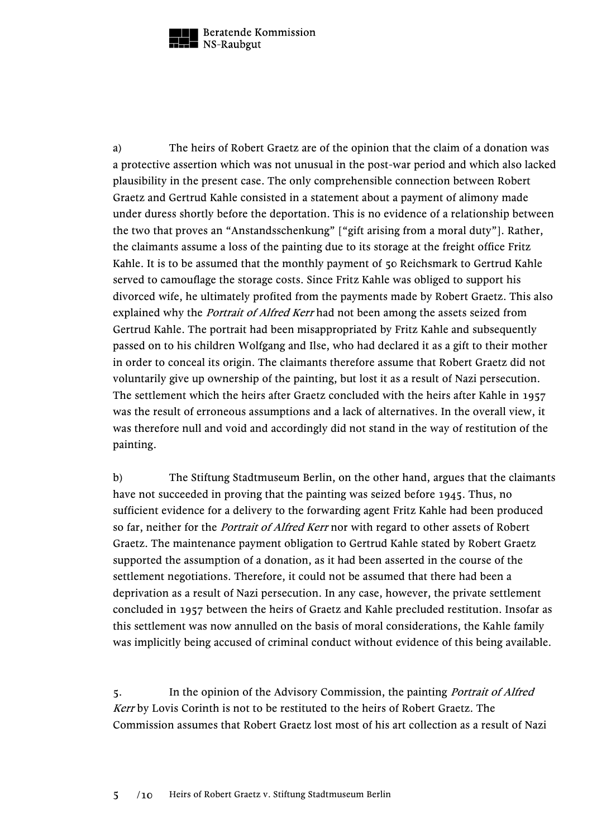

a) The heirs of Robert Graetz are of the opinion that the claim of a donation was a protective assertion which was not unusual in the post-war period and which also lacked plausibility in the present case. The only comprehensible connection between Robert Graetz and Gertrud Kahle consisted in a statement about a payment of alimony made under duress shortly before the deportation. This is no evidence of a relationship between the two that proves an "Anstandsschenkung" ["gift arising from a moral duty"]. Rather, the claimants assume a loss of the painting due to its storage at the freight office Fritz Kahle. It is to be assumed that the monthly payment of 50 Reichsmark to Gertrud Kahle served to camouflage the storage costs. Since Fritz Kahle was obliged to support his divorced wife, he ultimately profited from the payments made by Robert Graetz. This also explained why the *Portrait of Alfred Kerr* had not been among the assets seized from Gertrud Kahle. The portrait had been misappropriated by Fritz Kahle and subsequently passed on to his children Wolfgang and Ilse, who had declared it as a gift to their mother in order to conceal its origin. The claimants therefore assume that Robert Graetz did not voluntarily give up ownership of the painting, but lost it as a result of Nazi persecution. The settlement which the heirs after Graetz concluded with the heirs after Kahle in 1957 was the result of erroneous assumptions and a lack of alternatives. In the overall view, it was therefore null and void and accordingly did not stand in the way of restitution of the painting.

b) The Stiftung Stadtmuseum Berlin, on the other hand, argues that the claimants have not succeeded in proving that the painting was seized before 1945. Thus, no sufficient evidence for a delivery to the forwarding agent Fritz Kahle had been produced so far, neither for the *Portrait of Alfred Kerr* nor with regard to other assets of Robert Graetz. The maintenance payment obligation to Gertrud Kahle stated by Robert Graetz supported the assumption of a donation, as it had been asserted in the course of the settlement negotiations. Therefore, it could not be assumed that there had been a deprivation as a result of Nazi persecution. In any case, however, the private settlement concluded in 1957 between the heirs of Graetz and Kahle precluded restitution. Insofar as this settlement was now annulled on the basis of moral considerations, the Kahle family was implicitly being accused of criminal conduct without evidence of this being available.

5. In the opinion of the Advisory Commission, the painting Portrait of Alfred Kerr by Lovis Corinth is not to be restituted to the heirs of Robert Graetz. The Commission assumes that Robert Graetz lost most of his art collection as a result of Nazi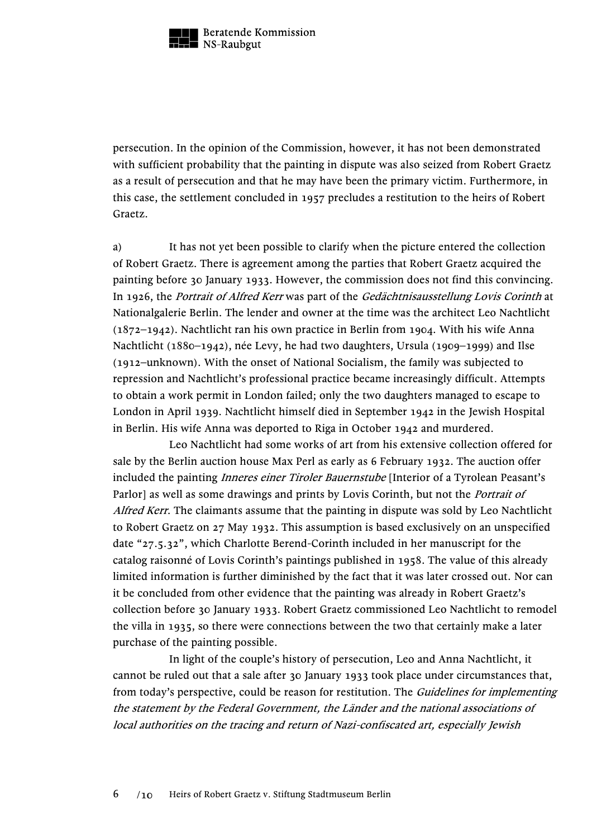

persecution. In the opinion of the Commission, however, it has not been demonstrated with sufficient probability that the painting in dispute was also seized from Robert Graetz as a result of persecution and that he may have been the primary victim. Furthermore, in this case, the settlement concluded in 1957 precludes a restitution to the heirs of Robert Graetz.

a) It has not yet been possible to clarify when the picture entered the collection of Robert Graetz. There is agreement among the parties that Robert Graetz acquired the painting before 30 January 1933. However, the commission does not find this convincing. In 1926, the Portrait of Alfred Kerr was part of the Gedächtnisausstellung Lovis Corinth at Nationalgalerie Berlin. The lender and owner at the time was the architect Leo Nachtlicht (1872–1942). Nachtlicht ran his own practice in Berlin from 1904. With his wife Anna Nachtlicht (1880–1942), née Levy, he had two daughters, Ursula (1909–1999) and Ilse (1912–unknown). With the onset of National Socialism, the family was subjected to repression and Nachtlicht's professional practice became increasingly difficult. Attempts to obtain a work permit in London failed; only the two daughters managed to escape to London in April 1939. Nachtlicht himself died in September 1942 in the Jewish Hospital in Berlin. His wife Anna was deported to Riga in October 1942 and murdered.

Leo Nachtlicht had some works of art from his extensive collection offered for sale by the Berlin auction house Max Perl as early as 6 February 1932. The auction offer included the painting *Inneres einer Tiroler Bauernstube* [Interior of a Tyrolean Peasant's Parlor] as well as some drawings and prints by Lovis Corinth, but not the *Portrait of* Alfred Kerr. The claimants assume that the painting in dispute was sold by Leo Nachtlicht to Robert Graetz on 27 May 1932. This assumption is based exclusively on an unspecified date "27.5.32", which Charlotte Berend-Corinth included in her manuscript for the catalog raisonné of Lovis Corinth's paintings published in 1958. The value of this already limited information is further diminished by the fact that it was later crossed out. Nor can it be concluded from other evidence that the painting was already in Robert Graetz's collection before 30 January 1933. Robert Graetz commissioned Leo Nachtlicht to remodel the villa in 1935, so there were connections between the two that certainly make a later purchase of the painting possible.

In light of the couple's history of persecution, Leo and Anna Nachtlicht, it cannot be ruled out that a sale after 30 January 1933 took place under circumstances that, from today's perspective, could be reason for restitution. The *Guidelines for implementing* the statement by the Federal Government, the Länder and the national associations of local authorities on the tracing and return of Nazi-confiscated art, especially Jewish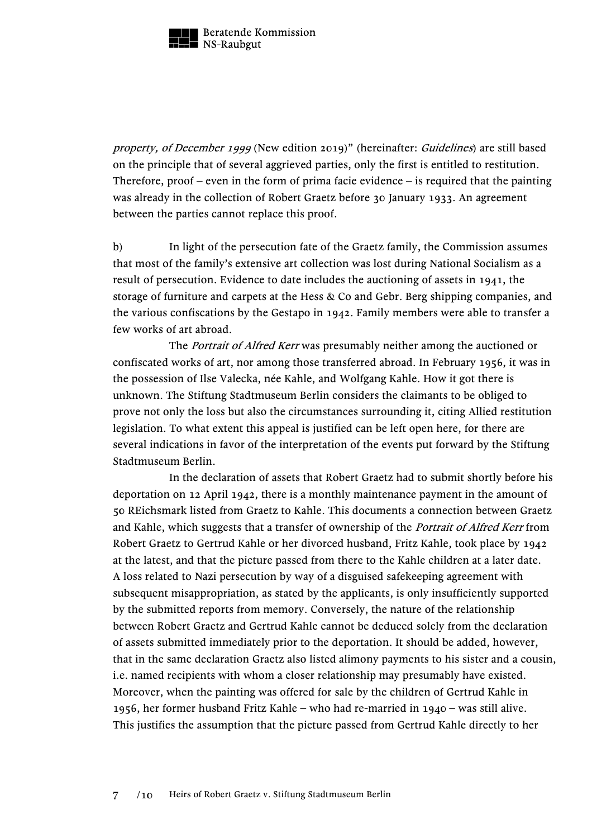

property, of December 1999 (New edition 2019)" (hereinafter: Guidelines) are still based on the principle that of several aggrieved parties, only the first is entitled to restitution. Therefore, proof – even in the form of prima facie evidence – is required that the painting was already in the collection of Robert Graetz before 30 January 1933. An agreement between the parties cannot replace this proof.

b) In light of the persecution fate of the Graetz family, the Commission assumes that most of the family's extensive art collection was lost during National Socialism as a result of persecution. Evidence to date includes the auctioning of assets in 1941, the storage of furniture and carpets at the Hess & Co and Gebr. Berg shipping companies, and the various confiscations by the Gestapo in 1942. Family members were able to transfer a few works of art abroad.

The *Portrait of Alfred Kerr* was presumably neither among the auctioned or confiscated works of art, nor among those transferred abroad. In February 1956, it was in the possession of Ilse Valecka, née Kahle, and Wolfgang Kahle. How it got there is unknown. The Stiftung Stadtmuseum Berlin considers the claimants to be obliged to prove not only the loss but also the circumstances surrounding it, citing Allied restitution legislation. To what extent this appeal is justified can be left open here, for there are several indications in favor of the interpretation of the events put forward by the Stiftung Stadtmuseum Berlin.

In the declaration of assets that Robert Graetz had to submit shortly before his deportation on 12 April 1942, there is a monthly maintenance payment in the amount of 50 REichsmark listed from Graetz to Kahle. This documents a connection between Graetz and Kahle, which suggests that a transfer of ownership of the *Portrait of Alfred Kerr* from Robert Graetz to Gertrud Kahle or her divorced husband, Fritz Kahle, took place by 1942 at the latest, and that the picture passed from there to the Kahle children at a later date. A loss related to Nazi persecution by way of a disguised safekeeping agreement with subsequent misappropriation, as stated by the applicants, is only insufficiently supported by the submitted reports from memory. Conversely, the nature of the relationship between Robert Graetz and Gertrud Kahle cannot be deduced solely from the declaration of assets submitted immediately prior to the deportation. It should be added, however, that in the same declaration Graetz also listed alimony payments to his sister and a cousin, i.e. named recipients with whom a closer relationship may presumably have existed. Moreover, when the painting was offered for sale by the children of Gertrud Kahle in 1956, her former husband Fritz Kahle – who had re-married in 1940 – was still alive. This justifies the assumption that the picture passed from Gertrud Kahle directly to her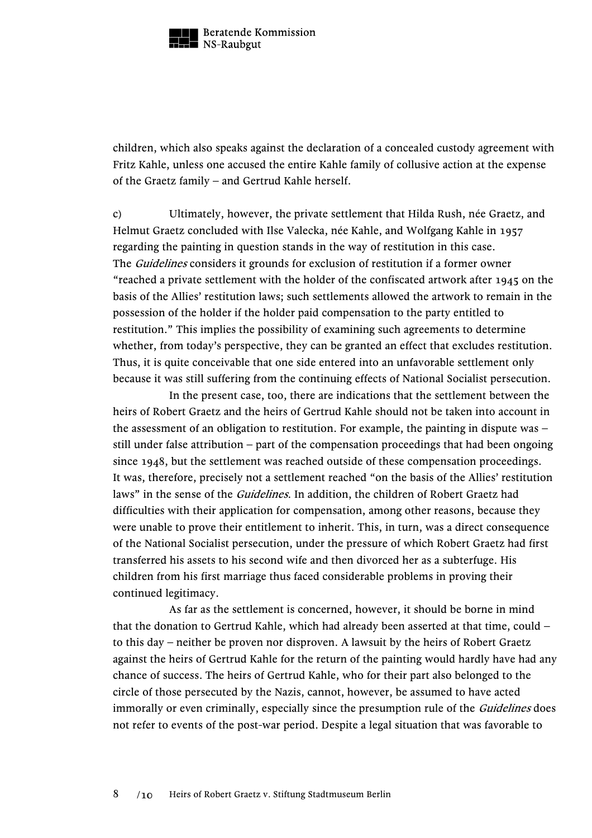

children, which also speaks against the declaration of a concealed custody agreement with Fritz Kahle, unless one accused the entire Kahle family of collusive action at the expense of the Graetz family – and Gertrud Kahle herself.

c) Ultimately, however, the private settlement that Hilda Rush, née Graetz, and Helmut Graetz concluded with Ilse Valecka, née Kahle, and Wolfgang Kahle in 1957 regarding the painting in question stands in the way of restitution in this case. The *Guidelines* considers it grounds for exclusion of restitution if a former owner "reached a private settlement with the holder of the confiscated artwork after 1945 on the basis of the Allies' restitution laws; such settlements allowed the artwork to remain in the possession of the holder if the holder paid compensation to the party entitled to restitution." This implies the possibility of examining such agreements to determine whether, from today's perspective, they can be granted an effect that excludes restitution. Thus, it is quite conceivable that one side entered into an unfavorable settlement only because it was still suffering from the continuing effects of National Socialist persecution.

In the present case, too, there are indications that the settlement between the heirs of Robert Graetz and the heirs of Gertrud Kahle should not be taken into account in the assessment of an obligation to restitution. For example, the painting in dispute was – still under false attribution – part of the compensation proceedings that had been ongoing since 1948, but the settlement was reached outside of these compensation proceedings. It was, therefore, precisely not a settlement reached "on the basis of the Allies' restitution laws" in the sense of the *Guidelines*. In addition, the children of Robert Graetz had difficulties with their application for compensation, among other reasons, because they were unable to prove their entitlement to inherit. This, in turn, was a direct consequence of the National Socialist persecution, under the pressure of which Robert Graetz had first transferred his assets to his second wife and then divorced her as a subterfuge. His children from his first marriage thus faced considerable problems in proving their continued legitimacy.

As far as the settlement is concerned, however, it should be borne in mind that the donation to Gertrud Kahle, which had already been asserted at that time, could – to this day – neither be proven nor disproven. A lawsuit by the heirs of Robert Graetz against the heirs of Gertrud Kahle for the return of the painting would hardly have had any chance of success. The heirs of Gertrud Kahle, who for their part also belonged to the circle of those persecuted by the Nazis, cannot, however, be assumed to have acted immorally or even criminally, especially since the presumption rule of the *Guidelines* does not refer to events of the post-war period. Despite a legal situation that was favorable to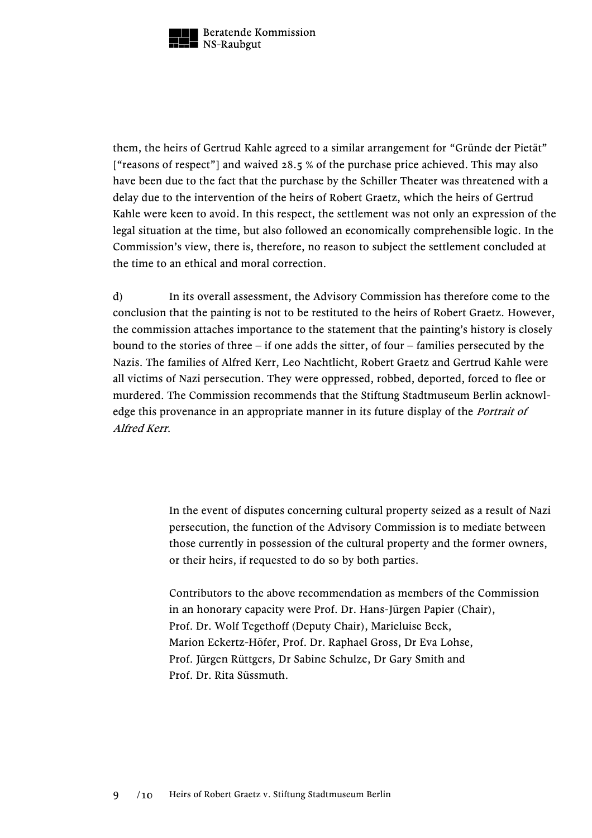

them, the heirs of Gertrud Kahle agreed to a similar arrangement for "Gründe der Pietät" ["reasons of respect"] and waived 28.5 % of the purchase price achieved. This may also have been due to the fact that the purchase by the Schiller Theater was threatened with a delay due to the intervention of the heirs of Robert Graetz, which the heirs of Gertrud Kahle were keen to avoid. In this respect, the settlement was not only an expression of the legal situation at the time, but also followed an economically comprehensible logic. In the Commission's view, there is, therefore, no reason to subject the settlement concluded at the time to an ethical and moral correction.

d) In its overall assessment, the Advisory Commission has therefore come to the conclusion that the painting is not to be restituted to the heirs of Robert Graetz. However, the commission attaches importance to the statement that the painting's history is closely bound to the stories of three – if one adds the sitter, of four – families persecuted by the Nazis. The families of Alfred Kerr, Leo Nachtlicht, Robert Graetz and Gertrud Kahle were all victims of Nazi persecution. They were oppressed, robbed, deported, forced to flee or murdered. The Commission recommends that the Stiftung Stadtmuseum Berlin acknowledge this provenance in an appropriate manner in its future display of the *Portrait of* Alfred Kerr.

> In the event of disputes concerning cultural property seized as a result of Nazi persecution, the function of the Advisory Commission is to mediate between those currently in possession of the cultural property and the former owners, or their heirs, if requested to do so by both parties.

Contributors to the above recommendation as members of the Commission in an honorary capacity were Prof. Dr. Hans-Jürgen Papier (Chair), Prof. Dr. Wolf Tegethoff (Deputy Chair), Marieluise Beck, Marion Eckertz-Höfer, Prof. Dr. Raphael Gross, Dr Eva Lohse, Prof. Jürgen Rüttgers, Dr Sabine Schulze, Dr Gary Smith and Prof. Dr. Rita Süssmuth.